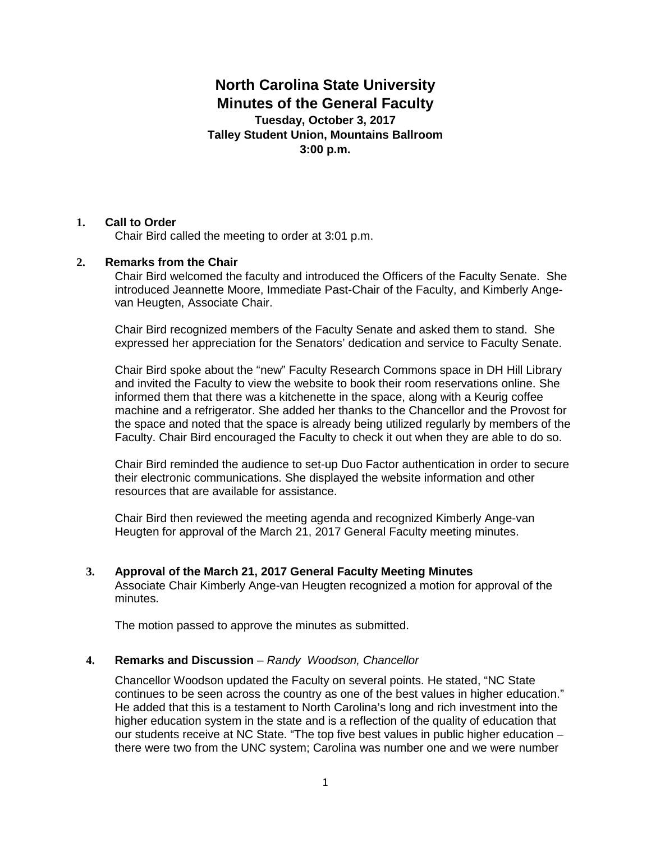# **North Carolina State University Minutes of the General Faculty**

**Tuesday, October 3, 2017 Talley Student Union, Mountains Ballroom 3:00 p.m.** 

## **1. Call to Order**

Chair Bird called the meeting to order at 3:01 p.m.

## **2. Remarks from the Chair**

Chair Bird welcomed the faculty and introduced the Officers of the Faculty Senate. She introduced Jeannette Moore, Immediate Past-Chair of the Faculty, and Kimberly Angevan Heugten, Associate Chair.

Chair Bird recognized members of the Faculty Senate and asked them to stand. She expressed her appreciation for the Senators' dedication and service to Faculty Senate.

Chair Bird spoke about the "new" Faculty Research Commons space in DH Hill Library and invited the Faculty to view the website to book their room reservations online. She informed them that there was a kitchenette in the space, along with a Keurig coffee machine and a refrigerator. She added her thanks to the Chancellor and the Provost for the space and noted that the space is already being utilized regularly by members of the Faculty. Chair Bird encouraged the Faculty to check it out when they are able to do so.

Chair Bird reminded the audience to set-up Duo Factor authentication in order to secure their electronic communications. She displayed the website information and other resources that are available for assistance.

Chair Bird then reviewed the meeting agenda and recognized Kimberly Ange-van Heugten for approval of the March 21, 2017 General Faculty meeting minutes.

**3. Approval of the March 21, 2017 General Faculty Meeting Minutes** Associate Chair Kimberly Ange-van Heugten recognized a motion for approval of the minutes.

The motion passed to approve the minutes as submitted.

### **4. Remarks and Discussion** – *Randy Woodson, Chancellor*

Chancellor Woodson updated the Faculty on several points. He stated, "NC State continues to be seen across the country as one of the best values in higher education." He added that this is a testament to North Carolina's long and rich investment into the higher education system in the state and is a reflection of the quality of education that our students receive at NC State. "The top five best values in public higher education – there were two from the UNC system; Carolina was number one and we were number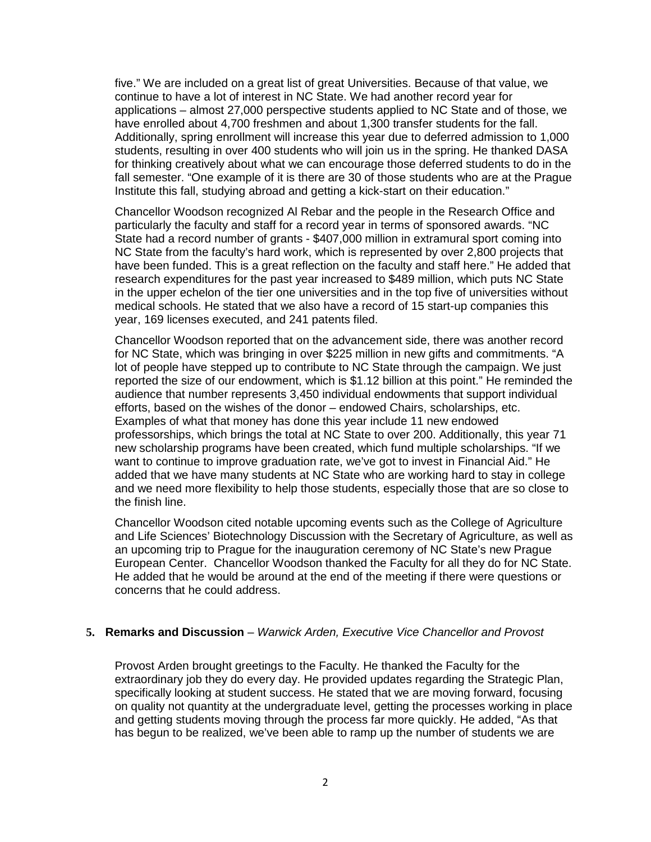five." We are included on a great list of great Universities. Because of that value, we continue to have a lot of interest in NC State. We had another record year for applications – almost 27,000 perspective students applied to NC State and of those, we have enrolled about 4,700 freshmen and about 1,300 transfer students for the fall. Additionally, spring enrollment will increase this year due to deferred admission to 1,000 students, resulting in over 400 students who will join us in the spring. He thanked DASA for thinking creatively about what we can encourage those deferred students to do in the fall semester. "One example of it is there are 30 of those students who are at the Prague Institute this fall, studying abroad and getting a kick-start on their education."

Chancellor Woodson recognized Al Rebar and the people in the Research Office and particularly the faculty and staff for a record year in terms of sponsored awards. "NC State had a record number of grants - \$407,000 million in extramural sport coming into NC State from the faculty's hard work, which is represented by over 2,800 projects that have been funded. This is a great reflection on the faculty and staff here." He added that research expenditures for the past year increased to \$489 million, which puts NC State in the upper echelon of the tier one universities and in the top five of universities without medical schools. He stated that we also have a record of 15 start-up companies this year, 169 licenses executed, and 241 patents filed.

Chancellor Woodson reported that on the advancement side, there was another record for NC State, which was bringing in over \$225 million in new gifts and commitments. "A lot of people have stepped up to contribute to NC State through the campaign. We just reported the size of our endowment, which is \$1.12 billion at this point." He reminded the audience that number represents 3,450 individual endowments that support individual efforts, based on the wishes of the donor – endowed Chairs, scholarships, etc. Examples of what that money has done this year include 11 new endowed professorships, which brings the total at NC State to over 200. Additionally, this year 71 new scholarship programs have been created, which fund multiple scholarships. "If we want to continue to improve graduation rate, we've got to invest in Financial Aid." He added that we have many students at NC State who are working hard to stay in college and we need more flexibility to help those students, especially those that are so close to the finish line.

Chancellor Woodson cited notable upcoming events such as the College of Agriculture and Life Sciences' Biotechnology Discussion with the Secretary of Agriculture, as well as an upcoming trip to Prague for the inauguration ceremony of NC State's new Prague European Center. Chancellor Woodson thanked the Faculty for all they do for NC State. He added that he would be around at the end of the meeting if there were questions or concerns that he could address.

#### **5. Remarks and Discussion** – *Warwick Arden, Executive Vice Chancellor and Provost*

Provost Arden brought greetings to the Faculty. He thanked the Faculty for the extraordinary job they do every day. He provided updates regarding the Strategic Plan, specifically looking at student success. He stated that we are moving forward, focusing on quality not quantity at the undergraduate level, getting the processes working in place and getting students moving through the process far more quickly. He added, "As that has begun to be realized, we've been able to ramp up the number of students we are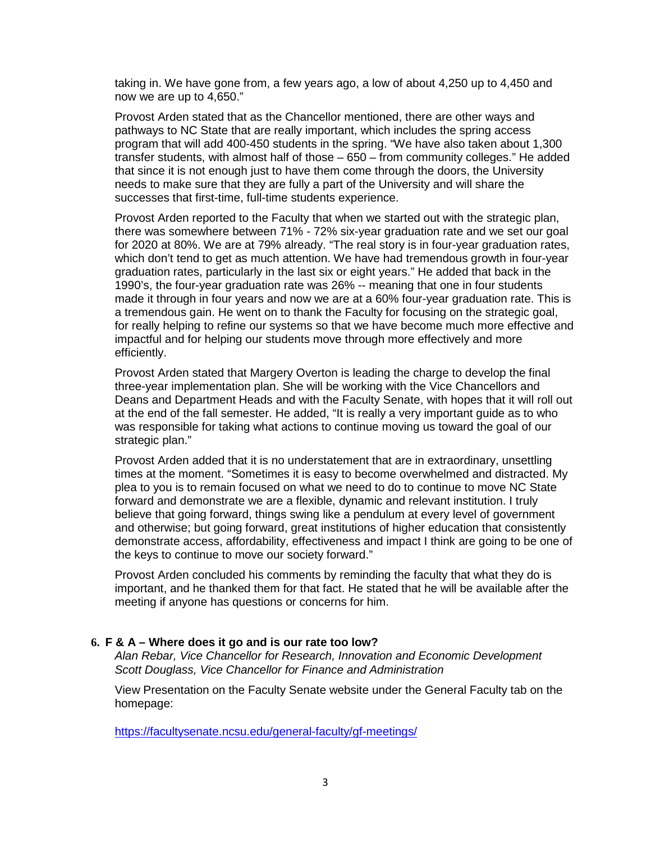taking in. We have gone from, a few years ago, a low of about 4,250 up to 4,450 and now we are up to 4,650."

Provost Arden stated that as the Chancellor mentioned, there are other ways and pathways to NC State that are really important, which includes the spring access program that will add 400-450 students in the spring. "We have also taken about 1,300 transfer students, with almost half of those – 650 – from community colleges." He added that since it is not enough just to have them come through the doors, the University needs to make sure that they are fully a part of the University and will share the successes that first-time, full-time students experience.

Provost Arden reported to the Faculty that when we started out with the strategic plan, there was somewhere between 71% - 72% six-year graduation rate and we set our goal for 2020 at 80%. We are at 79% already. "The real story is in four-year graduation rates, which don't tend to get as much attention. We have had tremendous growth in four-year graduation rates, particularly in the last six or eight years." He added that back in the 1990's, the four-year graduation rate was 26% -- meaning that one in four students made it through in four years and now we are at a 60% four-year graduation rate. This is a tremendous gain. He went on to thank the Faculty for focusing on the strategic goal, for really helping to refine our systems so that we have become much more effective and impactful and for helping our students move through more effectively and more efficiently.

Provost Arden stated that Margery Overton is leading the charge to develop the final three-year implementation plan. She will be working with the Vice Chancellors and Deans and Department Heads and with the Faculty Senate, with hopes that it will roll out at the end of the fall semester. He added, "It is really a very important guide as to who was responsible for taking what actions to continue moving us toward the goal of our strategic plan."

Provost Arden added that it is no understatement that are in extraordinary, unsettling times at the moment. "Sometimes it is easy to become overwhelmed and distracted. My plea to you is to remain focused on what we need to do to continue to move NC State forward and demonstrate we are a flexible, dynamic and relevant institution. I truly believe that going forward, things swing like a pendulum at every level of government and otherwise; but going forward, great institutions of higher education that consistently demonstrate access, affordability, effectiveness and impact I think are going to be one of the keys to continue to move our society forward."

Provost Arden concluded his comments by reminding the faculty that what they do is important, and he thanked them for that fact. He stated that he will be available after the meeting if anyone has questions or concerns for him.

#### **6. F & A – Where does it go and is our rate too low?**

*Alan Rebar, Vice Chancellor for Research, Innovation and Economic Development Scott Douglass, Vice Chancellor for Finance and Administration*

View Presentation on the Faculty Senate website under the General Faculty tab on the homepage:

<https://facultysenate.ncsu.edu/general-faculty/gf-meetings/>